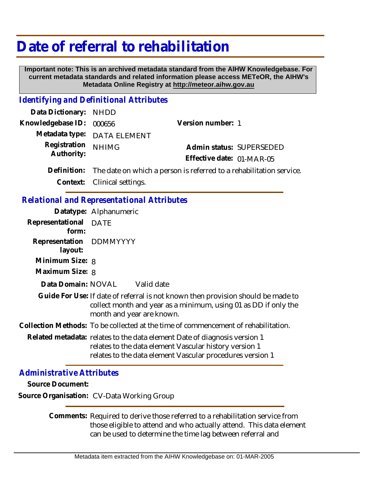# **Date of referral to rehabilitation**

 **Important note: This is an archived metadata standard from the AIHW Knowledgebase. For current metadata standards and related information please access METeOR, the AIHW's Metadata Online Registry at http://meteor.aihw.gov.au**

### *Identifying and Definitional Attributes*

| Data Dictionary: NHDD |                                                                                 |                           |
|-----------------------|---------------------------------------------------------------------------------|---------------------------|
| Knowledgebase ID:     | 000656                                                                          | Version number: 1         |
|                       | Metadata type: DATA ELEMENT                                                     |                           |
| Registration NHIMG    |                                                                                 | Admin status: SUPERSEDED  |
| Authority:            |                                                                                 | Effective date: 01-MAR-05 |
|                       | Definition: The date on which a person is referred to a rehabilitation service. |                           |
|                       | Context: Clinical settings.                                                     |                           |

#### *Relational and Representational Attributes*

|                                    | Datatype: Alphanumeric                                                                                                                                                           |
|------------------------------------|----------------------------------------------------------------------------------------------------------------------------------------------------------------------------------|
| Representational DATE<br>form:     |                                                                                                                                                                                  |
| Representation DDMMYYYY<br>layout: |                                                                                                                                                                                  |
| Minimum Size: 8                    |                                                                                                                                                                                  |
| Maximum Size: 8                    |                                                                                                                                                                                  |
| Data Domain: NOVAL                 | Valid date                                                                                                                                                                       |
|                                    | Guide For Use: If date of referral is not known then provision should be made to<br>collect month and year as a minimum, using 01 as DD if only the<br>month and year are known. |
|                                    | Collection Methods: To be collected at the time of commencement of rehabilitation.                                                                                               |
|                                    | Related metadata: relates to the data element Date of diagnosis version 1<br>relates to the data element Vascular history version 1                                              |

## *Administrative Attributes*

**Source Document:**

**Source Organisation:** CV-Data Working Group

Comments: Required to derive those referred to a rehabilitation service from those eligible to attend and who actually attend. This data element can be used to determine the time lag between referral and

relates to the data element Vascular procedures version 1